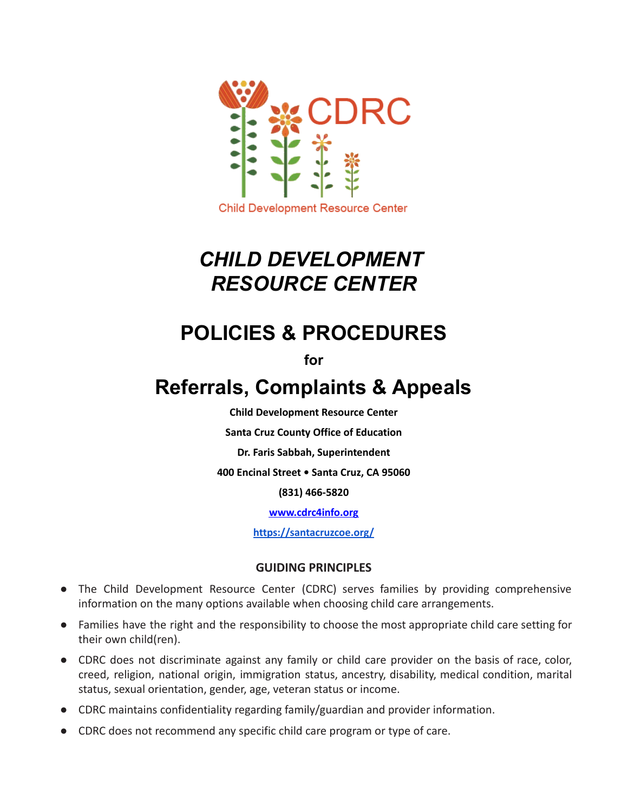

# *CHILD DEVELOPMENT RESOURCE CENTER*

# **POLICIES & PROCEDURES**

**for**

# **Referrals, Complaints & Appeals**

**Child Development Resource Center**

**Santa Cruz County Office of Education**

**Dr. Faris Sabbah, Superintendent**

**400 Encinal Street • Santa Cruz, CA 95060**

**(831) 466-5820**

**[www.cdrc4info.org](http://www.cdrc4info.org)**

**<https://santacruzcoe.org/>**

# **GUIDING PRINCIPLES**

- The Child Development Resource Center (CDRC) serves families by providing comprehensive information on the many options available when choosing child care arrangements.
- Families have the right and the responsibility to choose the most appropriate child care setting for their own child(ren).
- CDRC does not discriminate against any family or child care provider on the basis of race, color, creed, religion, national origin, immigration status, ancestry, disability, medical condition, marital status, sexual orientation, gender, age, veteran status or income.
- CDRC maintains confidentiality regarding family/guardian and provider information.
- CDRC does not recommend any specific child care program or type of care.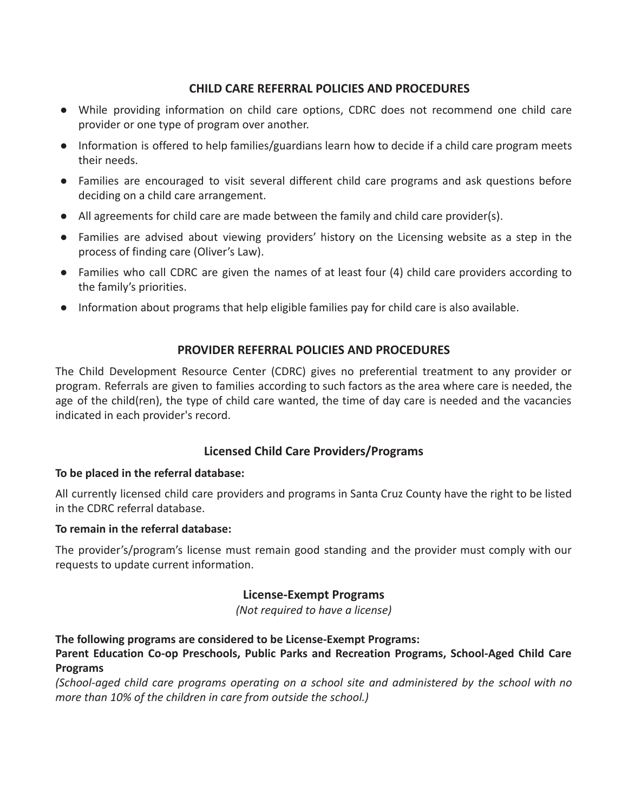### **CHILD CARE REFERRAL POLICIES AND PROCEDURES**

- While providing information on child care options, CDRC does not recommend one child care provider or one type of program over another.
- Information is offered to help families/guardians learn how to decide if a child care program meets their needs.
- Families are encouraged to visit several different child care programs and ask questions before deciding on a child care arrangement.
- All agreements for child care are made between the family and child care provider(s).
- Families are advised about viewing providers' history on the Licensing website as a step in the process of finding care (Oliver's Law).
- Families who call CDRC are given the names of at least four (4) child care providers according to the family's priorities.
- Information about programs that help eligible families pay for child care is also available.

### **PROVIDER REFERRAL POLICIES AND PROCEDURES**

The Child Development Resource Center (CDRC) gives no preferential treatment to any provider or program. Referrals are given to families according to such factors as the area where care is needed, the age of the child(ren), the type of child care wanted, the time of day care is needed and the vacancies indicated in each provider's record.

# **Licensed Child Care Providers/Programs**

#### **To be placed in the referral database:**

All currently licensed child care providers and programs in Santa Cruz County have the right to be listed in the CDRC referral database.

#### **To remain in the referral database:**

The provider's/program's license must remain good standing and the provider must comply with our requests to update current information.

#### **License-Exempt Programs**

*(Not required to have a license)*

**The following programs are considered to be License-Exempt Programs: Parent Education Co-op Preschools, Public Parks and Recreation Programs, School-Aged Child Care Programs**

*(School-aged child care programs operating on a school site and administered by the school with no more than 10% of the children in care from outside the school.)*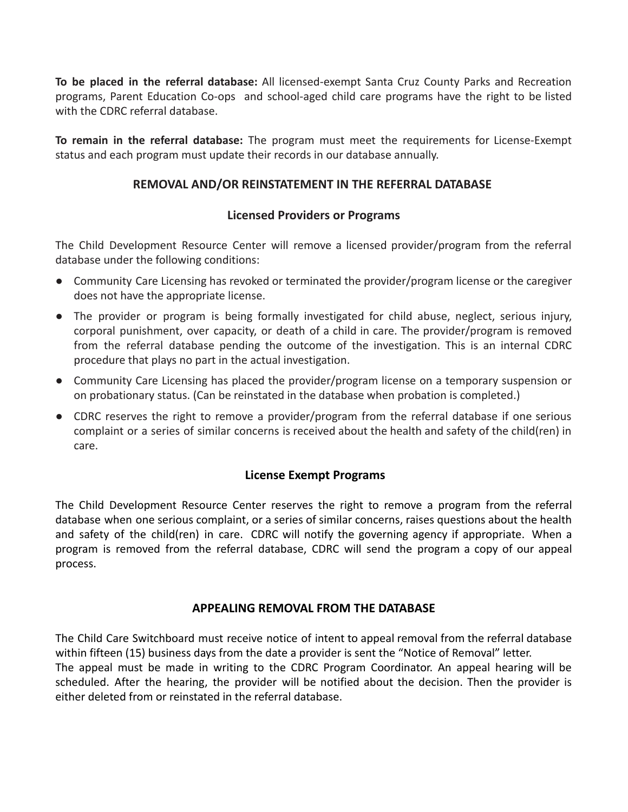**To be placed in the referral database:** All licensed-exempt Santa Cruz County Parks and Recreation programs, Parent Education Co-ops and school-aged child care programs have the right to be listed with the CDRC referral database.

**To remain in the referral database:** The program must meet the requirements for License-Exempt status and each program must update their records in our database annually.

# **REMOVAL AND/OR REINSTATEMENT IN THE REFERRAL DATABASE**

# **Licensed Providers or Programs**

The Child Development Resource Center will remove a licensed provider/program from the referral database under the following conditions:

- Community Care Licensing has revoked or terminated the provider/program license or the caregiver does not have the appropriate license.
- The provider or program is being formally investigated for child abuse, neglect, serious injury, corporal punishment, over capacity, or death of a child in care. The provider/program is removed from the referral database pending the outcome of the investigation. This is an internal CDRC procedure that plays no part in the actual investigation.
- Community Care Licensing has placed the provider/program license on a temporary suspension or on probationary status. (Can be reinstated in the database when probation is completed.)
- CDRC reserves the right to remove a provider/program from the referral database if one serious complaint or a series of similar concerns is received about the health and safety of the child(ren) in care.

# **License Exempt Programs**

The Child Development Resource Center reserves the right to remove a program from the referral database when one serious complaint, or a series of similar concerns, raises questions about the health and safety of the child(ren) in care. CDRC will notify the governing agency if appropriate. When a program is removed from the referral database, CDRC will send the program a copy of our appeal process.

# **APPEALING REMOVAL FROM THE DATABASE**

The Child Care Switchboard must receive notice of intent to appeal removal from the referral database within fifteen (15) business days from the date a provider is sent the "Notice of Removal" letter. The appeal must be made in writing to the CDRC Program Coordinator. An appeal hearing will be scheduled. After the hearing, the provider will be notified about the decision. Then the provider is either deleted from or reinstated in the referral database.